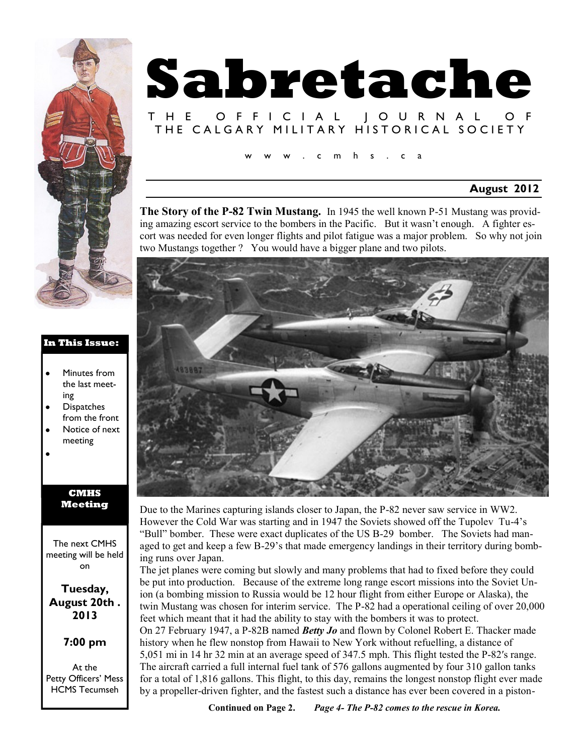

#### **In This Issue:**

- Minutes from the last meeting
- **Dispatches** from the front
- Notice of next meeting
- 

#### **CMHS Meeting**

The next CMHS meeting will be held on

**Tuesday, August 20th . 2013**

#### **7:00 pm**

At the Petty Officers' Mess HCMS Tecumseh

# **Sabretache**

### T H E O F F I C I A L J O U R N A L THE CALGARY MILITARY HISTORICAL SOCIETY

 $m$  h s . c a

## **August 2012**

**The Story of the P-82 Twin Mustang.** In 1945 the well known P-51 Mustang was providing amazing escort service to the bombers in the Pacific. But it wasn't enough. A fighter escort was needed for even longer flights and pilot fatigue was a major problem. So why not join two Mustangs together ? You would have a bigger plane and two pilots.



Due to the Marines capturing islands closer to Japan, the P-82 never saw service in WW2. However the Cold War was starting and in 1947 the Soviets showed off the Tupolev Tu-4's "Bull" bomber. These were exact duplicates of the US B-29 bomber. The Soviets had managed to get and keep a few B-29's that made emergency landings in their territory during bombing runs over Japan.

The jet planes were coming but slowly and many problems that had to fixed before they could be put into production. Because of the extreme long range escort missions into the Soviet Union (a bombing mission to Russia would be 12 hour flight from either Europe or Alaska), the twin Mustang was chosen for interim service. The P-82 had a operational ceiling of over 20,000 feet which meant that it had the ability to stay with the bombers it was to protect. On 27 February 1947, a P-82B named *Betty Jo* and flown by [Colonel](http://en.wikipedia.org/wiki/Colonel) [Robert E. Thacker](http://en.wikipedia.org/wiki/Robert_E._Thacker) made history when he flew nonstop from Hawaii to New York without refuelling, a distance of 5,051 mi in 14 hr 32 min at an average speed of 347.5 mph. This flight tested the P-82′s range. The aircraft carried a full internal fuel tank of 576 gallons augmented by four 310 gallon tanks for a total of 1,816 gallons. This flight, to this day, remains the longest nonstop flight ever made by a propeller-driven fighter, and the fastest such a distance has ever been covered in a piston-

**Continued on Page 2.** *Page 4- The P-82 comes to the rescue in Korea.*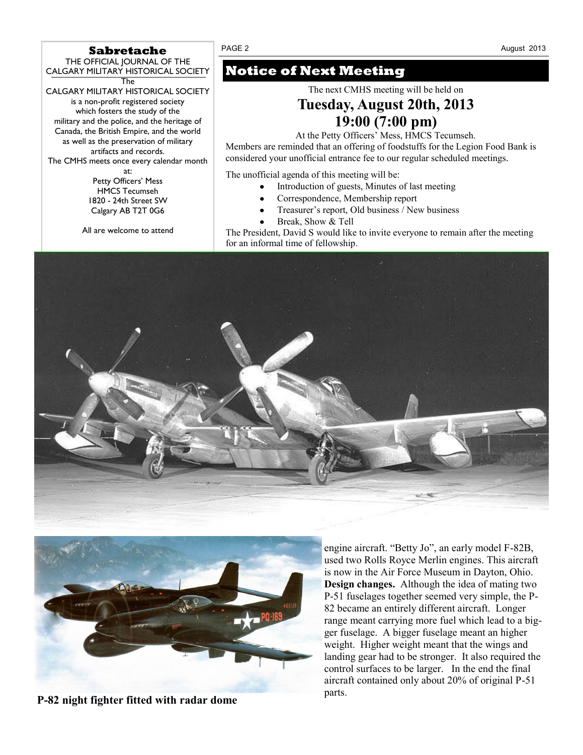# Sabretache PAGE 2 **PAGE 2** August 2013

THE OFFICIAL JOURNAL OF THE CALGARY MILITARY HISTORICAL SOCIETY

The CALGARY MILITARY HISTORICAL SOCIETY is a non-profit registered society which fosters the study of the military and the police, and the heritage of Canada, the British Empire, and the world as well as the preservation of military artifacts and records. The CMHS meets once every calendar month at:

> Petty Officers' Mess HMCS Tecumseh 1820 - 24th Street SW Calgary AB T2T 0G6

All are welcome to attend

## **Notice of Next Meeting**

The next CMHS meeting will be held on

# **Tuesday, August 20th, 2013 19:00 (7:00 pm)**

At the Petty Officers' Mess, HMCS Tecumseh.

Members are reminded that an offering of foodstuffs for the Legion Food Bank is considered your unofficial entrance fee to our regular scheduled meetings*.*

The unofficial agenda of this meeting will be:

- Introduction of guests, Minutes of last meeting  $\bullet$
- Correspondence, Membership report
- Treasurer's report, Old business / New business
- Break, Show & Tell

The President, David S would like to invite everyone to remain after the meeting for an informal time of fellowship.





**P-82 night fighter fitted with radar dome**

engine aircraft. "Betty Jo", an early model F-82B, used two Rolls Royce Merlin engines. This aircraft is now in the Air Force Museum in Dayton, Ohio. **Design changes.** Although the idea of mating two P-51 fuselages together seemed very simple, the P-82 became an entirely different aircraft. Longer range meant carrying more fuel which lead to a bigger fuselage. A bigger fuselage meant an higher weight. Higher weight meant that the wings and landing gear had to be stronger. It also required the control surfaces to be larger. In the end the final aircraft contained only about 20% of original P-51 parts.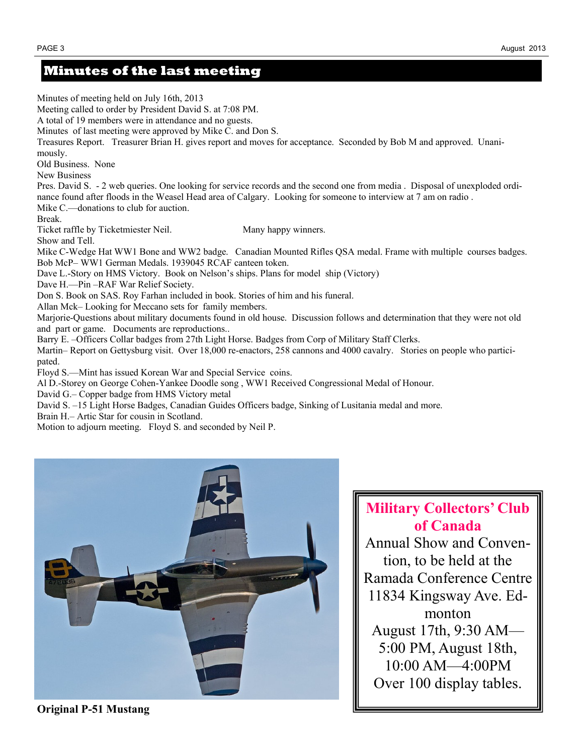## **Minutes of the last meeting**

Minutes of meeting held on July 16th, 2013 Meeting called to order by President David S. at 7:08 PM. A total of 19 members were in attendance and no guests. Minutes of last meeting were approved by Mike C. and Don S. Treasures Report. Treasurer Brian H. gives report and moves for acceptance. Seconded by Bob M and approved. Unanimously. Old Business. None New Business Pres. David S. - 2 web queries. One looking for service records and the second one from media . Disposal of unexploded ordinance found after floods in the Weasel Head area of Calgary. Looking for someone to interview at 7 am on radio . Mike C.—donations to club for auction. Break. Ticket raffle by Ticketmiester Neil. Many happy winners. Show and Tell. Mike C-Wedge Hat WW1 Bone and WW2 badge. Canadian Mounted Rifles QSA medal. Frame with multiple courses badges. Bob McP– WW1 German Medals. 1939045 RCAF canteen token. Dave L.-Story on HMS Victory. Book on Nelson's ships. Plans for model ship (Victory) Dave H.—Pin –RAF War Relief Society. Don S. Book on SAS. Roy Farhan included in book. Stories of him and his funeral. Allan Mck– Looking for Meccano sets for family members. Marjorie-Questions about military documents found in old house. Discussion follows and determination that they were not old and part or game. Documents are reproductions.. Barry E. –Officers Collar badges from 27th Light Horse. Badges from Corp of Military Staff Clerks. Martin– Report on Gettysburg visit. Over 18,000 re-enactors, 258 cannons and 4000 cavalry. Stories on people who participated. Floyd S.—Mint has issued Korean War and Special Service coins. Al D.-Storey on George Cohen-Yankee Doodle song , WW1 Received Congressional Medal of Honour. David G.– Copper badge from HMS Victory metal David S. –15 Light Horse Badges, Canadian Guides Officers badge, Sinking of Lusitania medal and more. Brain H.– Artic Star for cousin in Scotland. Motion to adjourn meeting. Floyd S. and seconded by Neil P.



**Military Collectors' Club of Canada** Annual Show and Convention, to be held at the Ramada Conference Centre 11834 Kingsway Ave. Edmonton August 17th, 9:30 AM— 5:00 PM, August 18th, 10:00 AM—4:00PM Over 100 display tables.

**Original P-51 Mustang**